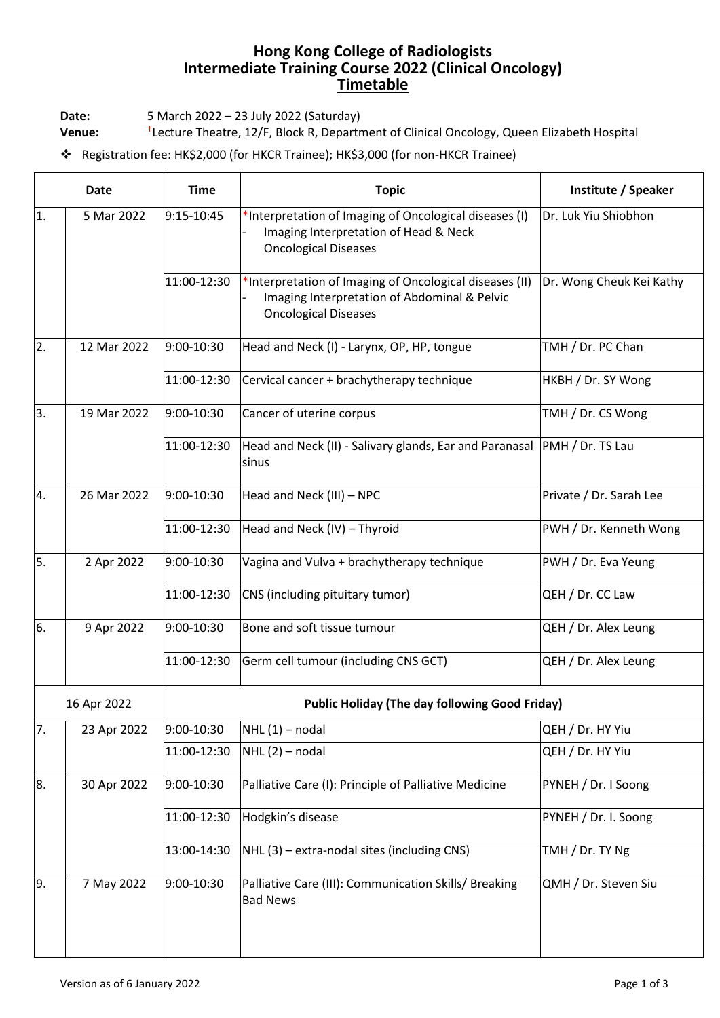## **Hong Kong College of Radiologists Intermediate Training Course 2022 (Clinical Oncology) Timetable**

**Date:** 5 March 2022 – 23 July 2022 (Saturday)

**Venue:** Lecture Theatre, 12/F, Block R, Department of Clinical Oncology, Queen Elizabeth Hospital

❖ Registration fee: HK\$2,000 (for HKCR Trainee); HK\$3,000 (for non-HKCR Trainee)

| <b>Date</b> |             | <b>Time</b> | <b>Topic</b>                                                                                                                           | Institute / Speaker      |  |
|-------------|-------------|-------------|----------------------------------------------------------------------------------------------------------------------------------------|--------------------------|--|
| 1.          | 5 Mar 2022  | 9:15-10:45  | *Interpretation of Imaging of Oncological diseases (I)<br>Imaging Interpretation of Head & Neck<br><b>Oncological Diseases</b>         | Dr. Luk Yiu Shiobhon     |  |
|             |             | 11:00-12:30 | *Interpretation of Imaging of Oncological diseases (II)<br>Imaging Interpretation of Abdominal & Pelvic<br><b>Oncological Diseases</b> | Dr. Wong Cheuk Kei Kathy |  |
| 2.          | 12 Mar 2022 | 9:00-10:30  | Head and Neck (I) - Larynx, OP, HP, tongue                                                                                             | TMH / Dr. PC Chan        |  |
|             |             | 11:00-12:30 | Cervical cancer + brachytherapy technique                                                                                              | HKBH / Dr. SY Wong       |  |
| 3.          | 19 Mar 2022 | 9:00-10:30  | Cancer of uterine corpus                                                                                                               | TMH / Dr. CS Wong        |  |
|             |             | 11:00-12:30 | Head and Neck (II) - Salivary glands, Ear and Paranasal PMH / Dr. TS Lau<br>sinus                                                      |                          |  |
| 4.          | 26 Mar 2022 | 9:00-10:30  | Head and Neck (III) - NPC                                                                                                              | Private / Dr. Sarah Lee  |  |
|             |             | 11:00-12:30 | Head and Neck (IV) - Thyroid                                                                                                           | PWH / Dr. Kenneth Wong   |  |
| 5.          | 2 Apr 2022  | 9:00-10:30  | Vagina and Vulva + brachytherapy technique                                                                                             | PWH / Dr. Eva Yeung      |  |
|             |             | 11:00-12:30 | CNS (including pituitary tumor)                                                                                                        | QEH / Dr. CC Law         |  |
| 6.          | 9 Apr 2022  | 9:00-10:30  | Bone and soft tissue tumour                                                                                                            | QEH / Dr. Alex Leung     |  |
|             |             | 11:00-12:30 | Germ cell tumour (including CNS GCT)                                                                                                   | QEH / Dr. Alex Leung     |  |
| 16 Apr 2022 |             |             | <b>Public Holiday (The day following Good Friday)</b>                                                                                  |                          |  |
| 7.          | 23 Apr 2022 | 9:00-10:30  | $NHL(1)$ – nodal                                                                                                                       | QEH / Dr. HY Yiu         |  |
|             |             | 11:00-12:30 | $NHL(2)$ – nodal                                                                                                                       | QEH / Dr. HY Yiu         |  |
| 8.          | 30 Apr 2022 | 9:00-10:30  | Palliative Care (I): Principle of Palliative Medicine                                                                                  | PYNEH / Dr. I Soong      |  |
|             |             | 11:00-12:30 | Hodgkin's disease                                                                                                                      | PYNEH / Dr. I. Soong     |  |
|             |             | 13:00-14:30 | NHL (3) - extra-nodal sites (including CNS)                                                                                            | TMH / Dr. TY Ng          |  |
| 9.          | 7 May 2022  | 9:00-10:30  | Palliative Care (III): Communication Skills/ Breaking<br><b>Bad News</b>                                                               | QMH / Dr. Steven Siu     |  |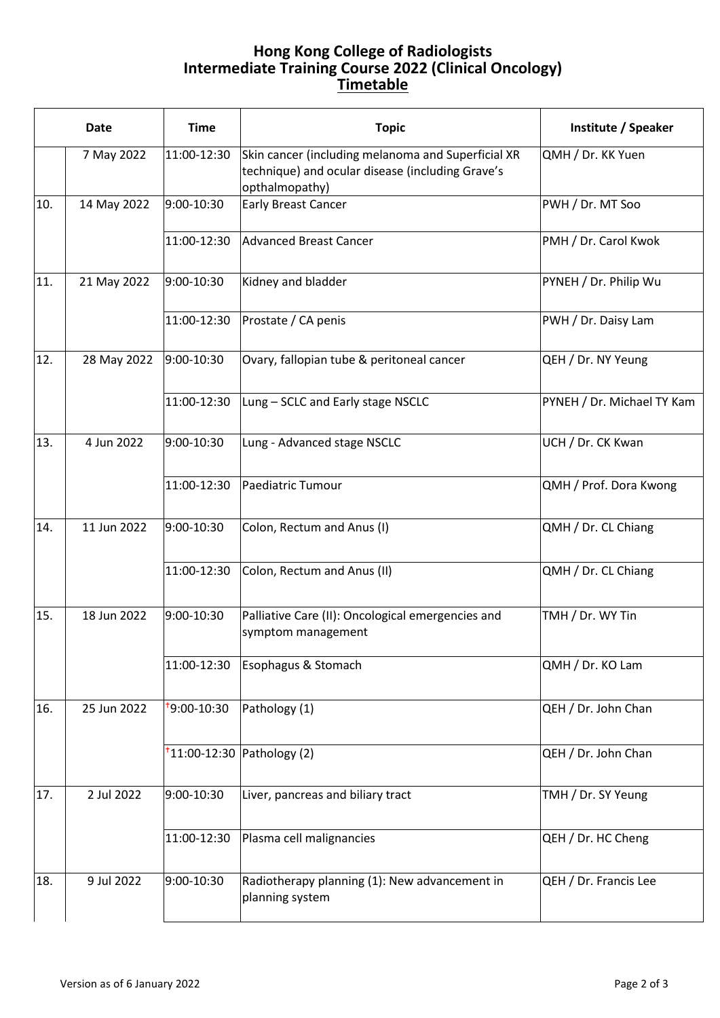## **Hong Kong College of Radiologists Intermediate Training Course 2022 (Clinical Oncology) Timetable**

|     | <b>Date</b> | <b>Time</b>             | <b>Topic</b>                                                                                                             | Institute / Speaker        |
|-----|-------------|-------------------------|--------------------------------------------------------------------------------------------------------------------------|----------------------------|
|     | 7 May 2022  | 11:00-12:30             | Skin cancer (including melanoma and Superficial XR<br>technique) and ocular disease (including Grave's<br>opthalmopathy) | QMH / Dr. KK Yuen          |
| 10. | 14 May 2022 | 9:00-10:30              | <b>Early Breast Cancer</b>                                                                                               | PWH / Dr. MT Soo           |
|     |             | 11:00-12:30             | Advanced Breast Cancer                                                                                                   | PMH / Dr. Carol Kwok       |
| 11. | 21 May 2022 | 9:00-10:30              | Kidney and bladder                                                                                                       | PYNEH / Dr. Philip Wu      |
|     |             | 11:00-12:30             | Prostate / CA penis                                                                                                      | PWH / Dr. Daisy Lam        |
| 12. | 28 May 2022 | 9:00-10:30              | Ovary, fallopian tube & peritoneal cancer                                                                                | QEH / Dr. NY Yeung         |
|     |             | 11:00-12:30             | Lung - SCLC and Early stage NSCLC                                                                                        | PYNEH / Dr. Michael TY Kam |
| 13. | 4 Jun 2022  | 9:00-10:30              | Lung - Advanced stage NSCLC                                                                                              | UCH / Dr. CK Kwan          |
|     |             | 11:00-12:30             | Paediatric Tumour                                                                                                        | QMH / Prof. Dora Kwong     |
| 14. | 11 Jun 2022 | 9:00-10:30              | Colon, Rectum and Anus (I)                                                                                               | QMH / Dr. CL Chiang        |
|     |             | 11:00-12:30             | Colon, Rectum and Anus (II)                                                                                              | QMH / Dr. CL Chiang        |
| 15. | 18 Jun 2022 | 9:00-10:30              | Palliative Care (II): Oncological emergencies and<br>symptom management                                                  | TMH / Dr. WY Tin           |
|     |             | 11:00-12:30             | Esophagus & Stomach                                                                                                      | QMH / Dr. KO Lam           |
| 16. | 25 Jun 2022 | <sup>+</sup> 9:00-10:30 | Pathology (1)                                                                                                            | QEH / Dr. John Chan        |
|     |             |                         | $t$ 11:00-12:30 Pathology (2)                                                                                            | QEH / Dr. John Chan        |
| 17. | 2 Jul 2022  | 9:00-10:30              | Liver, pancreas and biliary tract                                                                                        | TMH / Dr. SY Yeung         |
|     |             | 11:00-12:30             | Plasma cell malignancies                                                                                                 | QEH / Dr. HC Cheng         |
| 18. | 9 Jul 2022  | 9:00-10:30              | Radiotherapy planning (1): New advancement in<br>planning system                                                         | QEH / Dr. Francis Lee      |